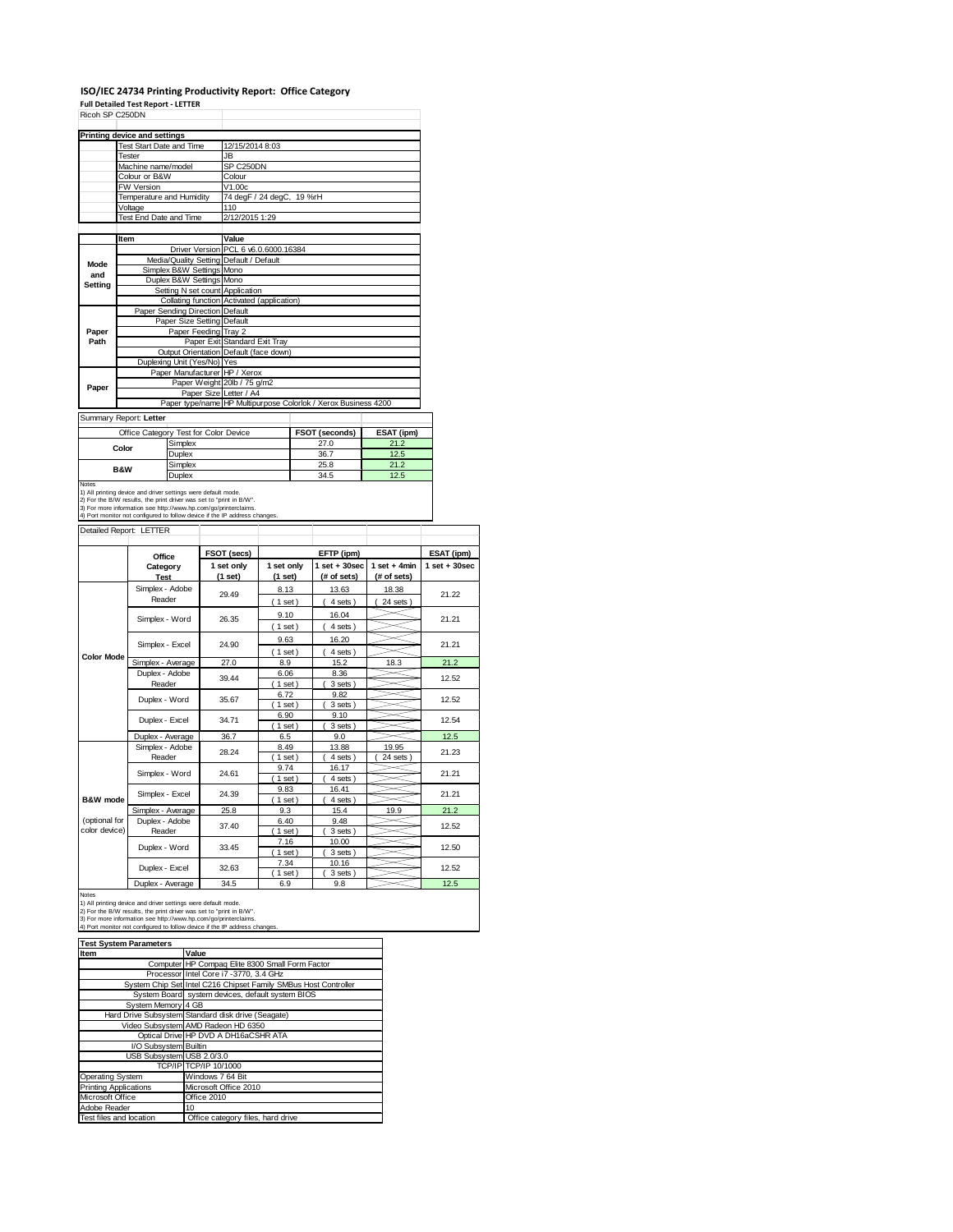## **ISO/IEC 24734 Printing Productivity Report: Office Category**

|                                |                                   | Printing device and settings                                                                                                                                                                            |                                 |                                                                               |                |  |                                                                |                 |                 |
|--------------------------------|-----------------------------------|---------------------------------------------------------------------------------------------------------------------------------------------------------------------------------------------------------|---------------------------------|-------------------------------------------------------------------------------|----------------|--|----------------------------------------------------------------|-----------------|-----------------|
|                                |                                   | <b>Test Start Date and Time</b>                                                                                                                                                                         |                                 | 12/15/2014 8:03                                                               |                |  |                                                                |                 |                 |
|                                | Tester                            |                                                                                                                                                                                                         |                                 | JB                                                                            |                |  |                                                                |                 |                 |
|                                |                                   | Machine name/model                                                                                                                                                                                      |                                 | SP C250DN                                                                     |                |  |                                                                |                 |                 |
|                                |                                   | Colour or B&W                                                                                                                                                                                           |                                 | Colour                                                                        |                |  |                                                                |                 |                 |
|                                |                                   | FW Version                                                                                                                                                                                              |                                 | V1.00c                                                                        |                |  |                                                                |                 |                 |
|                                |                                   | <b>Temperature and Humidity</b>                                                                                                                                                                         |                                 | 74 degF / 24 degC, 19 %rH                                                     |                |  |                                                                |                 |                 |
|                                | Voltage<br>Test End Date and Time |                                                                                                                                                                                                         |                                 | 110                                                                           |                |  |                                                                |                 |                 |
|                                |                                   |                                                                                                                                                                                                         |                                 | 2/12/2015 1:29                                                                |                |  |                                                                |                 |                 |
|                                | ltem                              |                                                                                                                                                                                                         |                                 | Value                                                                         |                |  |                                                                |                 |                 |
|                                |                                   |                                                                                                                                                                                                         |                                 | Driver Version PCL 6 v6.0.6000.16384                                          |                |  |                                                                |                 |                 |
| Mode                           |                                   |                                                                                                                                                                                                         |                                 | Media/Quality Setting Default / Default                                       |                |  |                                                                |                 |                 |
| and                            |                                   |                                                                                                                                                                                                         | Simplex B&W Settings Mono       |                                                                               |                |  |                                                                |                 |                 |
| Setting                        |                                   |                                                                                                                                                                                                         | Duplex B&W Settings Mono        |                                                                               |                |  |                                                                |                 |                 |
|                                |                                   |                                                                                                                                                                                                         |                                 | Setting N set count Application<br>Collating function Activated (application) |                |  |                                                                |                 |                 |
|                                |                                   |                                                                                                                                                                                                         | Paper Sending Direction Default |                                                                               |                |  |                                                                |                 |                 |
|                                |                                   |                                                                                                                                                                                                         | Paper Size Setting Default      |                                                                               |                |  |                                                                |                 |                 |
| Paper                          |                                   |                                                                                                                                                                                                         | Paper Feeding Tray 2            |                                                                               |                |  |                                                                |                 |                 |
| Path                           |                                   |                                                                                                                                                                                                         |                                 | Paper Exit Standard Exit Tray                                                 |                |  |                                                                |                 |                 |
|                                |                                   |                                                                                                                                                                                                         |                                 | Output Orientation Default (face down)                                        |                |  |                                                                |                 |                 |
|                                |                                   |                                                                                                                                                                                                         | Duplexing Unit (Yes/No) Yes     |                                                                               |                |  |                                                                |                 |                 |
|                                |                                   |                                                                                                                                                                                                         |                                 | Paper Manufacturer HP / Xerox                                                 |                |  |                                                                |                 |                 |
| Paper                          |                                   |                                                                                                                                                                                                         |                                 | Paper Weight 20lb / 75 g/m2                                                   |                |  |                                                                |                 |                 |
|                                |                                   |                                                                                                                                                                                                         |                                 | Paper Size Letter / A4                                                        |                |  | Paper type/name HP Multipurpose Colorlok / Xerox Business 4200 |                 |                 |
|                                |                                   |                                                                                                                                                                                                         |                                 |                                                                               |                |  |                                                                |                 |                 |
| Summary Report: Letter         |                                   |                                                                                                                                                                                                         |                                 |                                                                               |                |  |                                                                |                 |                 |
|                                |                                   | Office Category Test for Color Device                                                                                                                                                                   |                                 |                                                                               |                |  | FSOT (seconds)                                                 | ESAT (ipm)      |                 |
|                                | Color                             |                                                                                                                                                                                                         | Simplex                         |                                                                               |                |  | 27.0                                                           | 21.2            |                 |
|                                |                                   |                                                                                                                                                                                                         | Duplex                          |                                                                               |                |  | 36.7                                                           | 12.5            |                 |
|                                | B&W                               |                                                                                                                                                                                                         | Simplex                         |                                                                               |                |  | 25.8                                                           | 21.2            |                 |
| Notes                          |                                   |                                                                                                                                                                                                         | Duplex                          |                                                                               |                |  | 34.5                                                           | 12.5            |                 |
|                                |                                   | 1) All printing device and driver settings were default mode.<br>2) For the B/W results, the print driver was set to "print in B/W".<br>3) For more information see http://www.hp.com/go/printerclaims. |                                 | 4) Port monitor not configured to follow device if the IP address changes.    |                |  |                                                                |                 |                 |
| Detailed Report: LETTER        |                                   |                                                                                                                                                                                                         |                                 |                                                                               |                |  |                                                                |                 |                 |
|                                |                                   | Office                                                                                                                                                                                                  |                                 | FSOT (secs)                                                                   |                |  | EFTP (ipm)                                                     |                 | ESAT (ipm)      |
|                                |                                   | Category                                                                                                                                                                                                |                                 | 1 set only                                                                    | 1 set only     |  | $1$ set $+30$ sec                                              | $1 set + 4 min$ | $1$ set + 30sec |
|                                |                                   | Test                                                                                                                                                                                                    |                                 | (1 set)                                                                       | (1 set)        |  | (# of sets)                                                    | (# of sets)     |                 |
|                                |                                   | Simplex - Adobe                                                                                                                                                                                         |                                 | 29.49                                                                         | 8.13           |  | 13.63                                                          | 18.38           | 21.22           |
|                                |                                   | Reader                                                                                                                                                                                                  |                                 |                                                                               | (1 set)        |  | 4 sets)                                                        | 24 sets)        |                 |
|                                |                                   |                                                                                                                                                                                                         |                                 | 26.35                                                                         | 9.10           |  | 16.04                                                          |                 | 21.21           |
|                                |                                   | Simplex - Word                                                                                                                                                                                          |                                 |                                                                               | (1 set)        |  | 4 sets)                                                        |                 |                 |
|                                |                                   |                                                                                                                                                                                                         |                                 |                                                                               | 9.63           |  | 16.20                                                          |                 |                 |
|                                |                                   | Simplex - Excel                                                                                                                                                                                         |                                 | 24.90                                                                         | (1 set)        |  | 4 sets)                                                        |                 | 21.21           |
| <b>Color Mode</b>              |                                   | Simplex - Average                                                                                                                                                                                       |                                 | 27.0                                                                          | 8.9            |  | 15.2                                                           | 18.3            | 21.2            |
|                                |                                   | Duplex - Adobe                                                                                                                                                                                          |                                 | 39.44                                                                         | 6.06           |  | 8.36                                                           |                 | 12.52           |
|                                |                                   | Reader                                                                                                                                                                                                  |                                 |                                                                               | $1$ set        |  | 3 sets)                                                        |                 |                 |
|                                |                                   | Duplex - Word                                                                                                                                                                                           |                                 | 35.67                                                                         | 6.72           |  | 9.82                                                           |                 | 12.52           |
|                                |                                   |                                                                                                                                                                                                         |                                 |                                                                               | $1$ set)       |  | 3 sets)                                                        |                 |                 |
|                                |                                   | Duplex - Excel                                                                                                                                                                                          |                                 | 34.71                                                                         | 6.90           |  | 9.10                                                           |                 | 12.54           |
|                                |                                   |                                                                                                                                                                                                         |                                 | 36.7                                                                          | $1$ set<br>6.5 |  | 3 sets)<br>9.0                                                 |                 | 12.5            |
|                                |                                   | Duplex - Average<br>Simplex - Adobe                                                                                                                                                                     |                                 |                                                                               | 8.49           |  | 13.88                                                          | 19.95           |                 |
|                                |                                   | Reader                                                                                                                                                                                                  |                                 | 28.24                                                                         | 1 set          |  | 4 sets                                                         | 24 sets         | 21.23           |
|                                |                                   |                                                                                                                                                                                                         |                                 |                                                                               | 9.74           |  | 16.17                                                          |                 |                 |
|                                |                                   | Simplex - Word                                                                                                                                                                                          |                                 | 24.61                                                                         | 1 set          |  | 4 sets)                                                        |                 | 21.21           |
|                                |                                   | Simplex - Excel                                                                                                                                                                                         |                                 | 24.39                                                                         | 9.83           |  | 16.41                                                          |                 | 21.21           |
| <b>B&amp;W</b> mode            |                                   |                                                                                                                                                                                                         |                                 |                                                                               | $1$ set        |  | 4 sets                                                         |                 |                 |
|                                |                                   | Simplex - Average                                                                                                                                                                                       |                                 | 25.8                                                                          | 9.3            |  | 15.4                                                           | 19.9            | 21.2            |
| (optional for<br>color device) |                                   | Duplex - Adobe<br>Reader                                                                                                                                                                                |                                 | 37.40                                                                         | 6.40<br>1 set  |  | 9.48                                                           |                 | 12.52           |
|                                |                                   |                                                                                                                                                                                                         |                                 |                                                                               | 7.16           |  | 3 sets)<br>10.00                                               |                 |                 |
|                                |                                   | Duplex - Word                                                                                                                                                                                           |                                 | 33.45                                                                         | 1 set          |  | 3 sets                                                         |                 | 12.50           |
|                                |                                   |                                                                                                                                                                                                         |                                 |                                                                               | 7.34           |  | 10.16                                                          |                 |                 |
|                                |                                   | Duplex - Excel                                                                                                                                                                                          |                                 | 32.63                                                                         | $1$ set)       |  | 3 sets)                                                        |                 | 12.52           |
| Notes                          |                                   | Duplex - Average                                                                                                                                                                                        |                                 | 34.5                                                                          | 6.9            |  | 9.8                                                            |                 | 12.5            |

| <b>Test System Parameters</b> |                                                                 |  |
|-------------------------------|-----------------------------------------------------------------|--|
| Item                          | Value                                                           |  |
|                               | Computer HP Compaq Elite 8300 Small Form Factor                 |  |
|                               | Processor Intel Core i7 -3770, 3.4 GHz                          |  |
|                               | System Chip Set Intel C216 Chipset Family SMBus Host Controller |  |
|                               | System Board system devices, default system BIOS                |  |
| System Memory 4 GB            |                                                                 |  |
|                               | Hard Drive Subsystem Standard disk drive (Seagate)              |  |
|                               | Video Subsystem AMD Radeon HD 6350                              |  |
|                               | Optical Drive HP DVD A DH16aCSHR ATA                            |  |
| I/O Subsystem Builtin         |                                                                 |  |
| USB Subsystem USB 2.0/3.0     |                                                                 |  |
|                               | TCP/IP TCP/IP 10/1000                                           |  |
| <b>Operating System</b>       | Windows 7 64 Bit                                                |  |
| <b>Printing Applications</b>  | Microsoft Office 2010                                           |  |
| Microsoft Office              | Office 2010                                                     |  |
| Adobe Reader                  | 10                                                              |  |
| Test files and location       | Office category files, hard drive                               |  |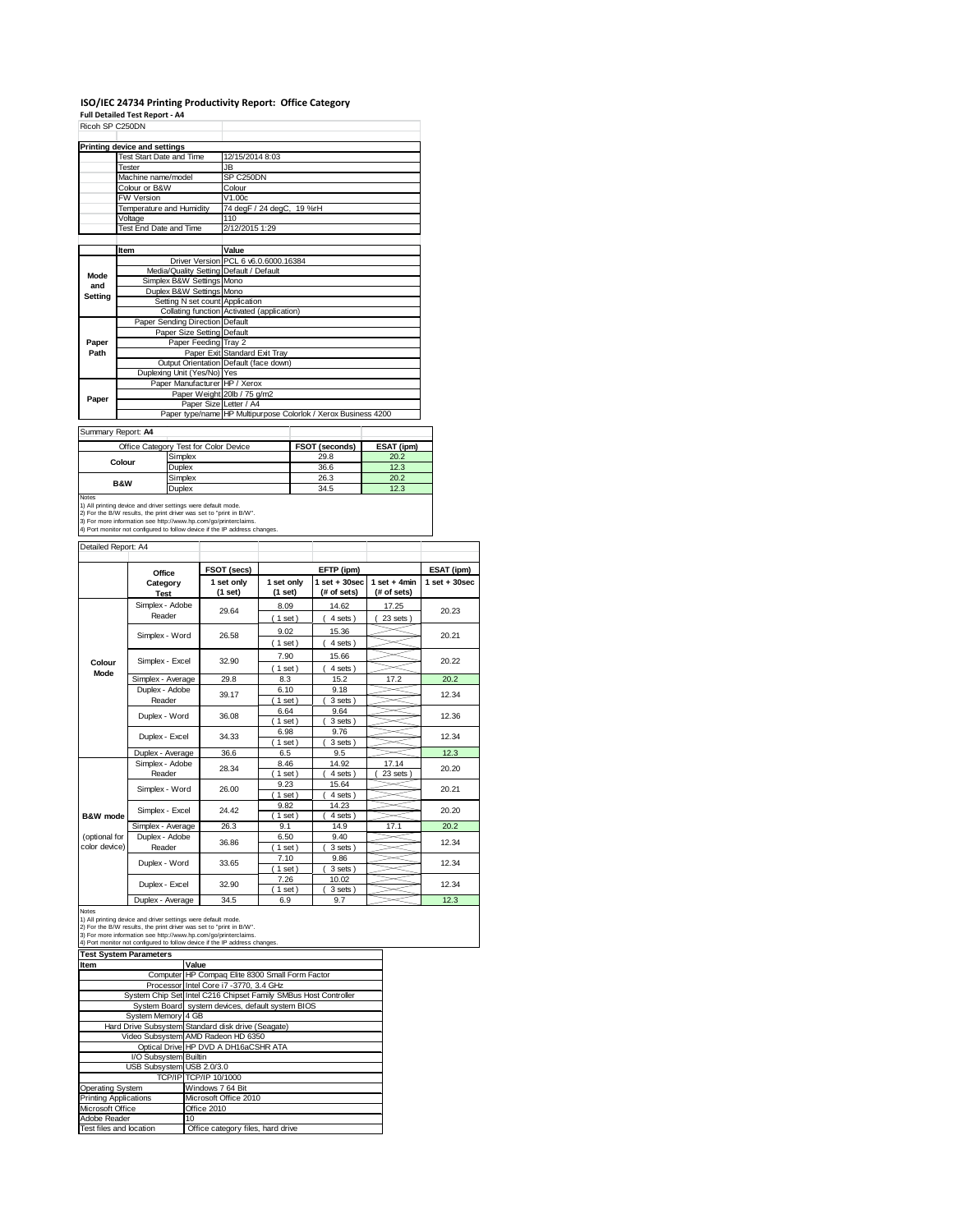# **ISO/IEC 24734 Printing Productivity Report: Office Category Full Detailed Test Report ‐ A4** Ricoh SP C250DN

| ו שטטבט וטיוו  |                                         |                                                                |
|----------------|-----------------------------------------|----------------------------------------------------------------|
|                | Printing device and settings            |                                                                |
|                | <b>Test Start Date and Time</b>         | 12/15/2014 8:03                                                |
|                | <b>Tester</b>                           | JB                                                             |
|                | Machine name/model                      | SP C250DN                                                      |
|                | Colour or B&W                           | Colour                                                         |
|                | <b>FW Version</b>                       | V1.00c                                                         |
|                | Temperature and Humidity                | 74 deg F / 24 deg C, 19 %rH                                    |
|                | Voltage                                 | 110                                                            |
|                | Test End Date and Time                  | 2/12/2015 1:29                                                 |
|                |                                         |                                                                |
|                | Item                                    | Value                                                          |
|                |                                         | Driver Version PCL 6 v6.0.6000.16384                           |
| Mode           | Media/Quality Setting Default / Default |                                                                |
| and            | Simplex B&W Settings Mono               |                                                                |
| <b>Setting</b> | Duplex B&W Settings Mono                |                                                                |
|                | Setting N set count Application         |                                                                |
|                |                                         | Collating function Activated (application)                     |
|                | Paper Sending Direction Default         |                                                                |
|                | Paper Size Setting Default              |                                                                |
| Paper          | Paper Feeding Tray 2                    |                                                                |
| Path           |                                         | Paper Exit Standard Exit Tray                                  |
|                |                                         | Output Orientation Default (face down)                         |
|                | Duplexing Unit (Yes/No) Yes             |                                                                |
|                | Paper Manufacturer HP / Xerox           |                                                                |
| Paper          |                                         | Paper Weight 20lb / 75 g/m2                                    |
|                | Paper Size Letter / A4                  |                                                                |
|                |                                         | Paper type/name HP Multipurpose Colorlok / Xerox Business 4200 |
|                | Summary Report: A4                      |                                                                |
|                |                                         |                                                                |

Summary Report: **A4**

|                                                                     | Office Category Test for Color Device                                      | <b>FSOT (seconds)</b> | ESAT (ipm) |  |  |
|---------------------------------------------------------------------|----------------------------------------------------------------------------|-----------------------|------------|--|--|
| Colour                                                              | Simplex                                                                    | 29.8                  | 20.2       |  |  |
|                                                                     | Duplex                                                                     | 36.6                  | 12.3       |  |  |
| <b>B&amp;W</b>                                                      | Simplex                                                                    | 26.3                  | 20.2       |  |  |
|                                                                     | Duplex                                                                     | 34.5                  | 12.3       |  |  |
| <b>Notes</b>                                                        |                                                                            |                       |            |  |  |
|                                                                     | 1) All printing device and driver settings were default mode.              |                       |            |  |  |
| 2) For the B/W results, the print driver was set to "print in B/W". |                                                                            |                       |            |  |  |
|                                                                     | 3) For more information see http://www.hp.com/go/printerclaims.            |                       |            |  |  |
|                                                                     | 4) Port monitor not configured to follow device if the IP address changes. |                       |            |  |  |

| Detailed Report: A4            |                           |                       |                       |                                  |                               |                   |
|--------------------------------|---------------------------|-----------------------|-----------------------|----------------------------------|-------------------------------|-------------------|
|                                | Office                    | FSOT (secs)           |                       | EFTP (ipm)                       |                               | ESAT (ipm)        |
|                                | Category<br><b>Test</b>   | 1 set only<br>(1 set) | 1 set only<br>(1 set) | $1$ set $+30$ sec<br>(# of sets) | $1$ set + 4min<br>(# of sets) | $1$ set $+30$ sec |
|                                | Simplex - Adobe<br>Reader | 29.64                 | 8.09<br>(1 set)       | 14.62<br>4 sets)                 | 17.25<br>23 sets              | 20.23             |
|                                | Simplex - Word            | 26.58                 | 9.02<br>(1 set)       | 15.36<br>4 sets)                 |                               | 20.21             |
| Colour                         | Simplex - Excel           | 32.90                 | 7.90<br>$1$ set)      | 15.66<br>4 sets)                 |                               | 20.22             |
| Mode                           | Simplex - Average         | 29.8                  | 8.3                   | 15.2                             | 17.2                          | 20.2              |
|                                | Duplex - Adobe<br>Reader  | 39.17                 | 6.10<br>$1$ set)      | 9.18<br>3 sets)                  |                               | 12.34             |
|                                | Duplex - Word             | 36.08                 | 6.64<br>$1$ set)      | 9.64<br>3 sets)                  |                               | 12.36             |
|                                | Duplex - Excel            | 34.33                 | 6.98<br>$1$ set)      | 9.76<br>3 sets)                  |                               | 12.34             |
|                                | Duplex - Average          | 36.6                  | 6.5                   | 9.5                              |                               | 12.3              |
|                                | Simplex - Adobe<br>Reader | 28.34                 | 8.46<br>$1$ set)      | 14.92<br>4 sets)                 | 17.14<br>23 sets              | 20.20             |
|                                | Simplex - Word            | 26.00                 | 9.23<br>$1$ set)      | 15.64<br>4 sets)                 |                               | 20.21             |
| B&W mode                       | Simplex - Excel           | 24.42                 | 9.82<br>$1$ set)      | 14.23<br>4 sets)                 |                               | 20.20             |
|                                | Simplex - Average         | 26.3                  | 9.1                   | 14.9                             | 17.1                          | 20.2              |
| (optional for<br>color device) | Duplex - Adobe<br>Reader  | 36.86                 | 6.50<br>$1$ set)      | 9.40<br>3 sets)                  |                               | 12.34             |
|                                | Duplex - Word             | 33.65                 | 7.10<br>$1$ set)      | 9.86<br>3 sets)                  |                               | 12.34             |
|                                | Duplex - Excel            | 32.90                 | 7.26<br>$1$ set)      | 10.02<br>3 sets)                 |                               | 12.34             |
|                                | $\mathbf{r}$              | $\sim$ $\sim$         | $\sim$ $\sim$         | $\sim$ $-$                       |                               | $\sim$            |

|                               | Duplex - Average                                                                                                                                                                                                                                                                      | 34.5                                             | 6.9 | 9.7 |  | 12.3 |  |
|-------------------------------|---------------------------------------------------------------------------------------------------------------------------------------------------------------------------------------------------------------------------------------------------------------------------------------|--------------------------------------------------|-----|-----|--|------|--|
| <b>Notes</b>                  | 1) All printing device and driver settings were default mode.<br>2) For the B/W results, the print driver was set to "print in B/W".<br>3) For more information see http://www.hp.com/go/printerclaims.<br>4) Port monitor not configured to follow device if the IP address changes. |                                                  |     |     |  |      |  |
| <b>Test System Parameters</b> |                                                                                                                                                                                                                                                                                       |                                                  |     |     |  |      |  |
| Item                          |                                                                                                                                                                                                                                                                                       | Value                                            |     |     |  |      |  |
|                               |                                                                                                                                                                                                                                                                                       | Computer HP Compaq Elite 8300 Small Form Factor  |     |     |  |      |  |
|                               |                                                                                                                                                                                                                                                                                       | Processor Intel Core i7 -3770, 3.4 GHz           |     |     |  |      |  |
|                               | System Chip Set Intel C216 Chipset Family SMBus Host Controller                                                                                                                                                                                                                       |                                                  |     |     |  |      |  |
|                               |                                                                                                                                                                                                                                                                                       | System Board system devices, default system BIOS |     |     |  |      |  |
|                               | System Memory 4 GB                                                                                                                                                                                                                                                                    |                                                  |     |     |  |      |  |
|                               | Hard Drive Subsystem Standard disk drive (Seagate)                                                                                                                                                                                                                                    |                                                  |     |     |  |      |  |
|                               |                                                                                                                                                                                                                                                                                       | Video Subsystem AMD Radeon HD 6350               |     |     |  |      |  |
|                               |                                                                                                                                                                                                                                                                                       | Optical Drive HP DVD A DH16aCSHR ATA             |     |     |  |      |  |
| I/O Subsystem Builtin         |                                                                                                                                                                                                                                                                                       |                                                  |     |     |  |      |  |
| USB Subsystem USB 2.0/3.0     |                                                                                                                                                                                                                                                                                       |                                                  |     |     |  |      |  |
|                               |                                                                                                                                                                                                                                                                                       | TCP/IP TCP/IP 10/1000                            |     |     |  |      |  |
| Operating System              |                                                                                                                                                                                                                                                                                       | Windows 7 64 Bit                                 |     |     |  |      |  |
| <b>Printing Applications</b>  |                                                                                                                                                                                                                                                                                       | Microsoft Office 2010                            |     |     |  |      |  |
| Microsoft Office              |                                                                                                                                                                                                                                                                                       | Office 2010                                      |     |     |  |      |  |
| Adobe Reader                  | 10                                                                                                                                                                                                                                                                                    |                                                  |     |     |  |      |  |
| Test files and location       |                                                                                                                                                                                                                                                                                       | Office category files, hard drive                |     |     |  |      |  |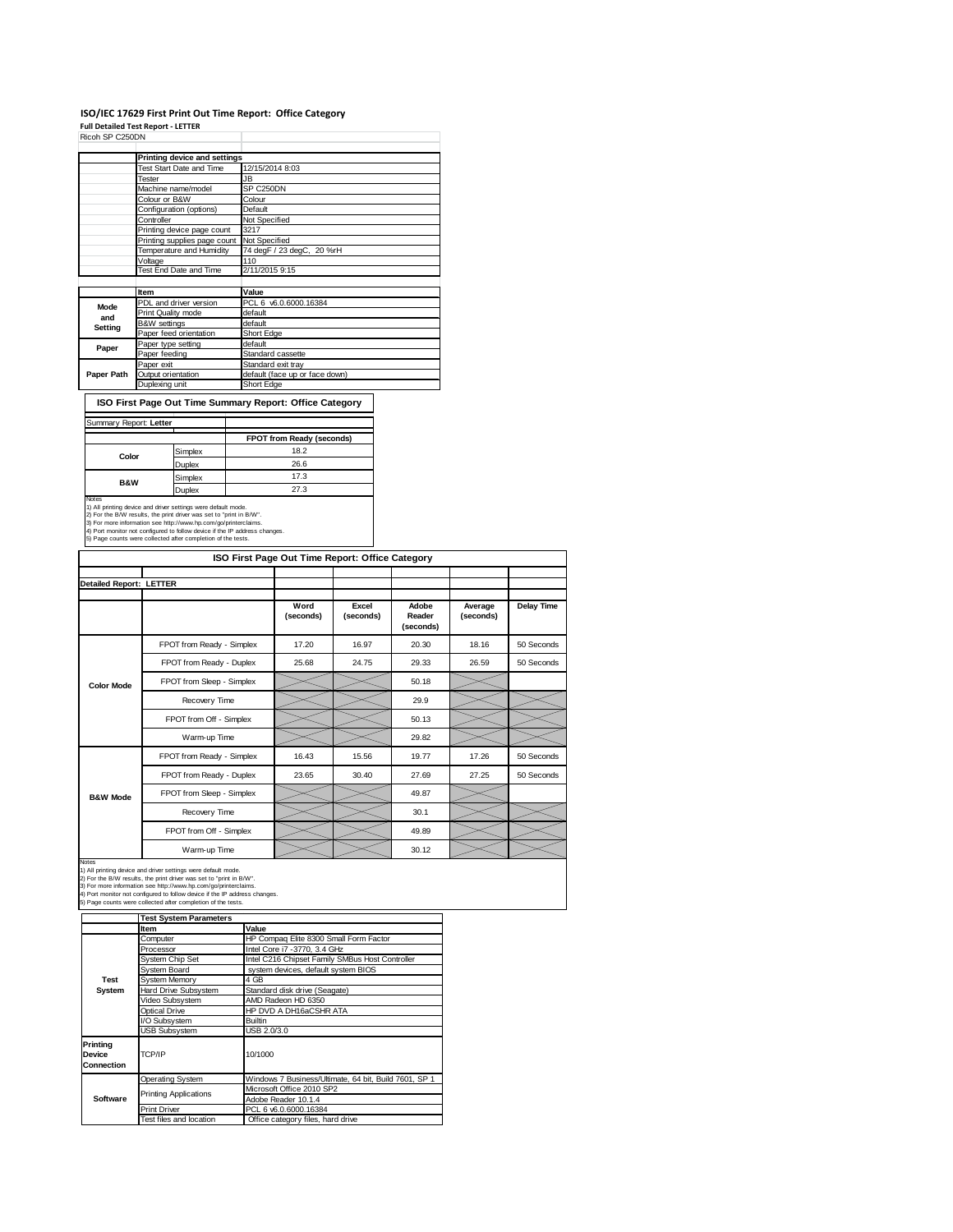#### **ISO/IEC 17629 First Print Out Time Report: Office Category Full Detailed Test Report ‐ LETTER** Ricoh SP C250DN

|            | Printing device and settings |                                |
|------------|------------------------------|--------------------------------|
|            | Test Start Date and Time     | 12/15/2014 8:03                |
|            | Tester                       | JB                             |
|            | Machine name/model           | SP C250DN                      |
|            | Colour or B&W                | Colour                         |
|            | Configuration (options)      | Default                        |
|            | Controller                   | Not Specified                  |
|            | Printing device page count   | 3217                           |
|            | Printing supplies page count | Not Specified                  |
|            | Temperature and Humidity     | 74 degF / 23 degC, 20 %rH      |
|            | Voltage                      | 110                            |
|            | Test End Date and Time       | 2/11/2015 9:15                 |
|            |                              |                                |
|            | Item                         | Value                          |
| Mode       | PDL and driver version       | PCL 6 v6.0.6000.16384          |
| and        | Print Quality mode           | default                        |
| Setting    | <b>B&amp;W</b> settings      | default                        |
|            | Paper feed orientation       | Short Edge                     |
| Paper      | Paper type setting           | default                        |
|            | Paper feeding                | Standard cassette              |
|            | Paper exit                   | Standard exit tray             |
| Paper Path | Output orientation           | default (face up or face down) |
|            | Duplexing unit               | Short Edge                     |

**ISO First Page Out Time Summary Report: Office Category**

|                |         | FPOT from Ready (seconds) |
|----------------|---------|---------------------------|
| Color          | Simplex | 18.2                      |
|                | Duplex  | 26.6                      |
| <b>B&amp;W</b> | Simplex | 17.3                      |
|                | Duplex  | 27.3                      |

3) For more information see http://www.hp.com/go/printerclaims.<br>4) Port monitor not configured to follow device if the IP address changes.<br>5) Page counts were collected after completion of the tests.

|                                |                           | ISO First Page Out Time Report: Office Category |                    |                              |                      |                   |
|--------------------------------|---------------------------|-------------------------------------------------|--------------------|------------------------------|----------------------|-------------------|
| <b>Detailed Report: LETTER</b> |                           |                                                 |                    |                              |                      |                   |
|                                |                           | Word<br>(seconds)                               | Excel<br>(seconds) | Adobe<br>Reader<br>(seconds) | Average<br>(seconds) | <b>Delay Time</b> |
|                                | FPOT from Ready - Simplex | 17.20                                           | 16.97              | 20.30                        | 18.16                | 50 Seconds        |
|                                | FPOT from Ready - Duplex  | 25.68                                           | 24.75              | 29.33                        | 26.59                | 50 Seconds        |
| <b>Color Mode</b>              | FPOT from Sleep - Simplex |                                                 |                    | 50.18                        |                      |                   |
|                                | Recovery Time             |                                                 |                    | 29.9                         |                      |                   |
|                                | FPOT from Off - Simplex   |                                                 |                    | 50.13                        |                      |                   |
|                                | Warm-up Time              |                                                 |                    | 29.82                        |                      |                   |
|                                | FPOT from Ready - Simplex | 16.43                                           | 15.56              | 19.77                        | 17.26                | 50 Seconds        |
|                                | FPOT from Ready - Duplex  | 23.65                                           | 30.40              | 27.69                        | 27.25                | 50 Seconds        |
| <b>B&amp;W Mode</b>            | FPOT from Sleep - Simplex |                                                 |                    | 49.87                        |                      |                   |
|                                | Recovery Time             |                                                 |                    | 30.1                         |                      |                   |
|                                | FPOT from Off - Simplex   |                                                 |                    | 49.89                        |                      |                   |
|                                | Warm-up Time              |                                                 |                    | 30.12                        |                      |                   |

Notes<br>1) All printing device and driver settings were default mode.<br>2) For the B/W results, the print driver was set to "print in B/W".<br>3) For more information see http://www.hp.com/go/printerclaims.<br>4) Port monitor not co

|                                         | <b>Test System Parameters</b> |                                                       |  |  |
|-----------------------------------------|-------------------------------|-------------------------------------------------------|--|--|
|                                         | <b>Item</b>                   | Value                                                 |  |  |
|                                         | Computer                      | HP Compag Elite 8300 Small Form Factor                |  |  |
|                                         | Processor                     | Intel Core i7 -3770, 3.4 GHz                          |  |  |
|                                         | System Chip Set               | Intel C216 Chipset Family SMBus Host Controller       |  |  |
|                                         | System Board                  | system devices, default system BIOS                   |  |  |
| Test                                    | <b>System Memory</b>          | 4 GB                                                  |  |  |
| System                                  | Hard Drive Subsystem          | Standard disk drive (Seagate)                         |  |  |
|                                         | Video Subsystem               | AMD Radeon HD 6350                                    |  |  |
|                                         | <b>Optical Drive</b>          | HP DVD A DH16aCSHR ATA                                |  |  |
|                                         | I/O Subsystem                 | <b>Builtin</b>                                        |  |  |
|                                         | USB Subsystem                 | USB 2.0/3.0                                           |  |  |
| Printina<br>Device<br><b>Connection</b> | TCP/IP                        | 10/1000                                               |  |  |
|                                         | <b>Operating System</b>       | Windows 7 Business/Ultimate, 64 bit, Build 7601, SP 1 |  |  |
|                                         | <b>Printing Applications</b>  | Microsoft Office 2010 SP2                             |  |  |
| Software                                |                               | Adobe Reader 10.1.4                                   |  |  |
|                                         | <b>Print Driver</b>           | PCL 6 v6.0.6000.16384                                 |  |  |
|                                         | Test files and location       | Office category files, hard drive                     |  |  |